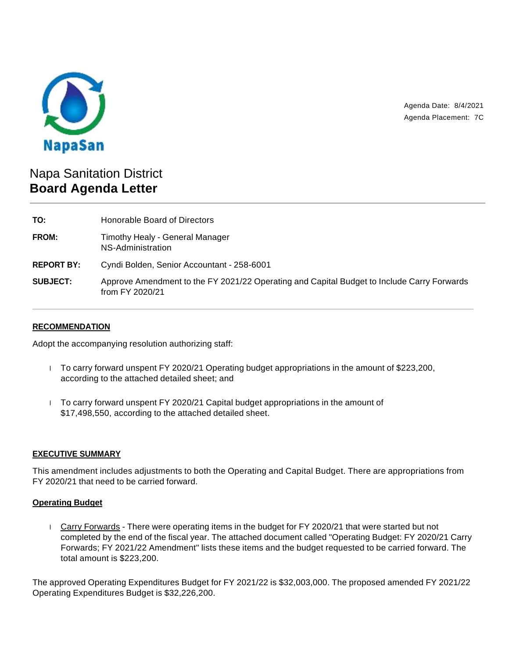

Agenda Date: 8/4/2021 Agenda Placement: 7C

# Napa Sanitation District **Board Agenda Letter**

**TO:** Honorable Board of Directors **FROM:** Timothy Healy - General Manager NS-Administration **REPORT BY:** Cyndi Bolden, Senior Accountant - 258-6001 **SUBJECT:** Approve Amendment to the FY 2021/22 Operating and Capital Budget to Include Carry Forwards from FY 2020/21

# **RECOMMENDATION**

Adopt the accompanying resolution authorizing staff:

- $\overline{1}$  To carry forward unspent FY 2020/21 Operating budget appropriations in the amount of \$223,200, according to the attached detailed sheet; and
- $\overline{1}$  To carry forward unspent FY 2020/21 Capital budget appropriations in the amount of \$17,498,550, according to the attached detailed sheet.

#### **EXECUTIVE SUMMARY**

This amendment includes adjustments to both the Operating and Capital Budget. There are appropriations from FY 2020/21 that need to be carried forward.

#### **Operating Budget**

 Carry Forwards - There were operating items in the budget for FY 2020/21 that were started but not completed by the end of the fiscal year. The attached document called "Operating Budget: FY 2020/21 Carry Forwards; FY 2021/22 Amendment" lists these items and the budget requested to be carried forward. The total amount is \$223,200.

The approved Operating Expenditures Budget for FY 2021/22 is \$32,003,000. The proposed amended FY 2021/22 Operating Expenditures Budget is \$32,226,200.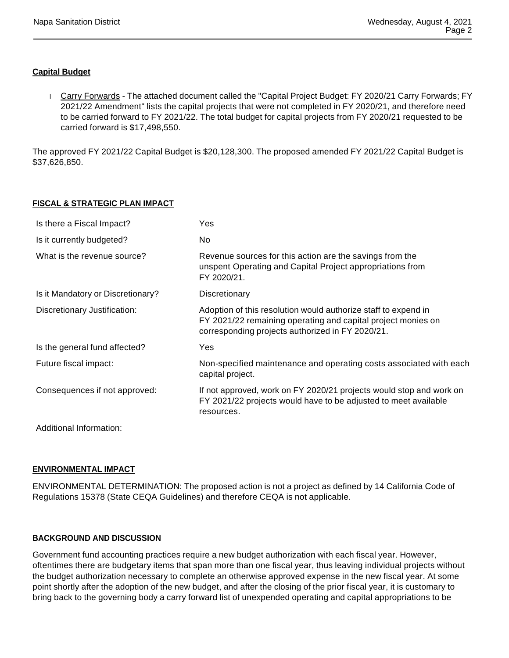# **Capital Budget**

Carry Forwards - The attached document called the "Capital Project Budget: FY 2020/21 Carry Forwards; FY 2021/22 Amendment" lists the capital projects that were not completed in FY 2020/21, and therefore need to be carried forward to FY 2021/22. The total budget for capital projects from FY 2020/21 requested to be carried forward is \$17,498,550.

The approved FY 2021/22 Capital Budget is \$20,128,300. The proposed amended FY 2021/22 Capital Budget is \$37,626,850.

# **FISCAL & STRATEGIC PLAN IMPACT**

| Is there a Fiscal Impact?         | Yes                                                                                                                                                                                |
|-----------------------------------|------------------------------------------------------------------------------------------------------------------------------------------------------------------------------------|
| Is it currently budgeted?         | No.                                                                                                                                                                                |
| What is the revenue source?       | Revenue sources for this action are the savings from the<br>unspent Operating and Capital Project appropriations from<br>FY 2020/21.                                               |
| Is it Mandatory or Discretionary? | Discretionary                                                                                                                                                                      |
| Discretionary Justification:      | Adoption of this resolution would authorize staff to expend in<br>FY 2021/22 remaining operating and capital project monies on<br>corresponding projects authorized in FY 2020/21. |
| Is the general fund affected?     | Yes                                                                                                                                                                                |
| Future fiscal impact:             | Non-specified maintenance and operating costs associated with each<br>capital project.                                                                                             |
| Consequences if not approved:     | If not approved, work on FY 2020/21 projects would stop and work on<br>FY 2021/22 projects would have to be adjusted to meet available<br>resources.                               |
| Additional Information:           |                                                                                                                                                                                    |

### **ENVIRONMENTAL IMPACT**

ENVIRONMENTAL DETERMINATION: The proposed action is not a project as defined by 14 California Code of Regulations 15378 (State CEQA Guidelines) and therefore CEQA is not applicable.

### **BACKGROUND AND DISCUSSION**

Government fund accounting practices require a new budget authorization with each fiscal year. However, oftentimes there are budgetary items that span more than one fiscal year, thus leaving individual projects without the budget authorization necessary to complete an otherwise approved expense in the new fiscal year. At some point shortly after the adoption of the new budget, and after the closing of the prior fiscal year, it is customary to bring back to the governing body a carry forward list of unexpended operating and capital appropriations to be